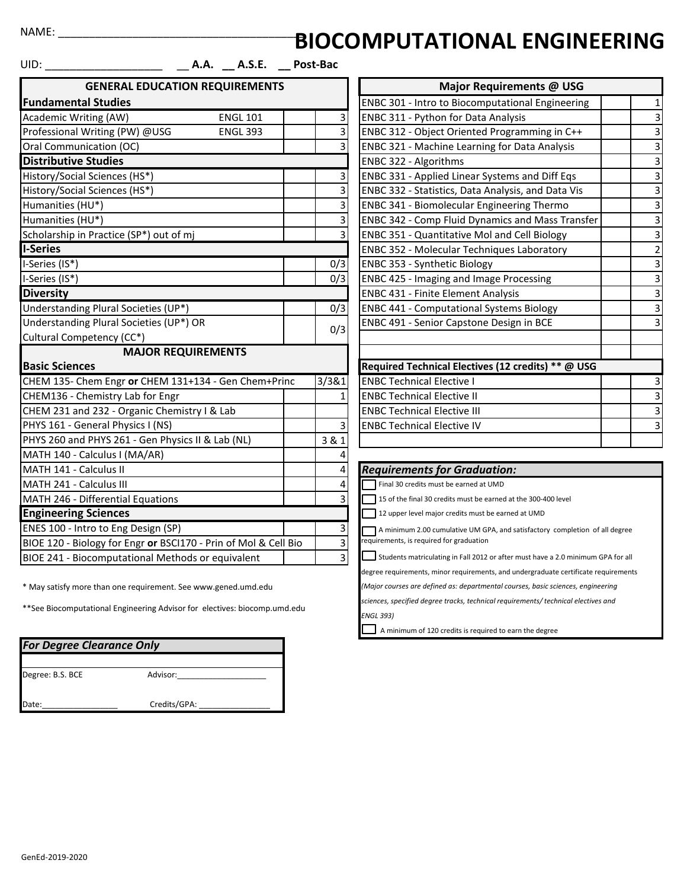## $NAME:$

## **BIOCOMPUTATIONAL ENGINEERING**

| ${\sf UID:}_{\rule{0pt}{2ex}\bot}$                              | A.A. __ A.S.E. __ Post-Bac |       |                |                                                                                  |                         |
|-----------------------------------------------------------------|----------------------------|-------|----------------|----------------------------------------------------------------------------------|-------------------------|
| <b>GENERAL EDUCATION REQUIREMENTS</b>                           |                            |       |                | Major Requirements @ USG                                                         |                         |
| <b>Fundamental Studies</b>                                      |                            |       |                | ENBC 301 - Intro to Biocomputational Engineering                                 |                         |
| Academic Writing (AW)                                           | <b>ENGL 101</b>            |       | 3              | ENBC 311 - Python for Data Analysis                                              |                         |
| Professional Writing (PW) @USG                                  | <b>ENGL 393</b>            |       | 3              | ENBC 312 - Object Oriented Programming in C++                                    | 3                       |
| Oral Communication (OC)                                         |                            |       | 3              | <b>ENBC 321 - Machine Learning for Data Analysis</b>                             | 3                       |
| <b>Distributive Studies</b>                                     |                            |       |                | ENBC 322 - Algorithms                                                            | 3                       |
| History/Social Sciences (HS*)                                   |                            |       | 3              | ENBC 331 - Applied Linear Systems and Diff Eqs                                   | 3                       |
| History/Social Sciences (HS*)                                   |                            |       | 3              | ENBC 332 - Statistics, Data Analysis, and Data Vis                               | 3                       |
| Humanities (HU*)                                                |                            |       | 3              | <b>ENBC 341 - Biomolecular Engineering Thermo</b>                                | 3                       |
| Humanities (HU*)                                                |                            |       | 3              | <b>ENBC 342 - Comp Fluid Dynamics and Mass Transfer</b>                          | 3                       |
| Scholarship in Practice (SP*) out of mj                         |                            |       | 3              | <b>ENBC 351 - Quantitative Mol and Cell Biology</b>                              | 3                       |
| <b>I-Series</b>                                                 |                            |       |                | <b>ENBC 352 - Molecular Techniques Laboratory</b>                                | $\overline{\mathbf{c}}$ |
| I-Series (IS*)                                                  |                            |       | 0/3            | ENBC 353 - Synthetic Biology                                                     | 3                       |
| I-Series (IS*)                                                  |                            |       | 0/3            | <b>ENBC 425 - Imaging and Image Processing</b>                                   | 3                       |
| <b>Diversity</b>                                                |                            |       |                | <b>ENBC 431 - Finite Element Analysis</b>                                        | 3                       |
| Understanding Plural Societies (UP*)                            |                            |       | 0/3            | <b>ENBC 441 - Computational Systems Biology</b>                                  | 3                       |
| Understanding Plural Societies (UP*) OR                         |                            |       | 0/3            | ENBC 491 - Senior Capstone Design in BCE                                         | 3                       |
| Cultural Competency (CC*)                                       |                            |       |                |                                                                                  |                         |
| <b>MAJOR REQUIREMENTS</b>                                       |                            |       |                |                                                                                  |                         |
| <b>Basic Sciences</b>                                           |                            |       |                | Required Technical Electives (12 credits) ** @ USG                               |                         |
| CHEM 135- Chem Engr or CHEM 131+134 - Gen Chem+Princ            |                            | 3/3&1 |                | <b>ENBC Technical Elective I</b>                                                 | З                       |
| CHEM136 - Chemistry Lab for Engr                                |                            |       | $\mathbf{1}$   | <b>ENBC Technical Elective II</b>                                                | 3                       |
| CHEM 231 and 232 - Organic Chemistry I & Lab                    |                            |       |                | <b>ENBC Technical Elective III</b>                                               | 3                       |
| PHYS 161 - General Physics I (NS)                               |                            |       | 3              | <b>ENBC Technical Elective IV</b>                                                | 3                       |
| PHYS 260 and PHYS 261 - Gen Physics II & Lab (NL)               |                            | 3 & 1 |                |                                                                                  |                         |
| MATH 140 - Calculus I (MA/AR)                                   |                            |       | 4              |                                                                                  |                         |
| MATH 141 - Calculus II                                          |                            |       | 4              | <b>Requirements for Graduation:</b>                                              |                         |
| MATH 241 - Calculus III                                         |                            |       | 4              | Final 30 credits must be earned at UMD                                           |                         |
| MATH 246 - Differential Equations                               |                            |       | 3              | 15 of the final 30 credits must be earned at the 300-400 level                   |                         |
| <b>Engineering Sciences</b>                                     |                            |       |                | 12 upper level major credits must be earned at UMD                               |                         |
| ENES 100 - Intro to Eng Design (SP)                             |                            |       | 3              | A minimum 2.00 cumulative UM GPA, and satisfactory completion of all degree      |                         |
| BIOE 120 - Biology for Engr or BSCI170 - Prin of Mol & Cell Bio |                            |       | 3              | equirements, is required for graduation                                          |                         |
| BIOE 241 - Biocomputational Methods or equivalent               |                            |       | $\overline{3}$ | Students matriculating in Fall 2012 or after must have a 2.0 minimum GPA for all |                         |

\* May satisfy more than one requirement. See www.gened.umd.edu

\*\*See Biocomputational Engineering Advisor for electives: biocomp.umd.edu

| <b>For Degree Clearance Only</b> |              |  |  |  |  |
|----------------------------------|--------------|--|--|--|--|
| Degree: B.S. BCE                 | Advisor:     |  |  |  |  |
| Date:                            | Credits/GPA: |  |  |  |  |

|                                                                        | Major Requirements @ USG                            |                         |
|------------------------------------------------------------------------|-----------------------------------------------------|-------------------------|
|                                                                        | ENBC 301 - Intro to Biocomputational Engineering    | 1                       |
|                                                                        | ENBC 311 - Python for Data Analysis                 | 3                       |
|                                                                        | ENBC 312 - Object Oriented Programming in C++       | $\overline{3}$          |
| $\frac{3}{3}$                                                          | ENBC 321 - Machine Learning for Data Analysis       | $\overline{3}$          |
|                                                                        | ENBC 322 - Algorithms                               | $\overline{3}$          |
|                                                                        | ENBC 331 - Applied Linear Systems and Diff Eqs      | $\overline{3}$          |
|                                                                        | ENBC 332 - Statistics, Data Analysis, and Data Vis  | $\overline{3}$          |
|                                                                        | ENBC 341 - Biomolecular Engineering Thermo          | 3                       |
|                                                                        | ENBC 342 - Comp Fluid Dynamics and Mass Transfer    | $\overline{\mathbf{3}}$ |
| $\begin{array}{c c} 3 & 3 \\ \hline 3 & 3 \\ \hline 3 & 3 \end{array}$ | <b>ENBC 351 - Quantitative Mol and Cell Biology</b> | 3                       |
|                                                                        | ENBC 352 - Molecular Techniques Laboratory          | $\overline{c}$          |
|                                                                        | ENBC 353 - Synthetic Biology                        | $\overline{\mathbf{3}}$ |
| $\frac{3}{3}$                                                          | <b>ENBC 425 - Imaging and Image Processing</b>      |                         |
|                                                                        | <b>ENBC 431 - Finite Element Analysis</b>           | $\overline{\mathbf{3}}$ |
| $\frac{3}{2}$                                                          | <b>ENBC 441 - Computational Systems Biology</b>     | $\overline{\mathbf{3}}$ |
| 3                                                                      | ENBC 491 - Senior Capstone Design in BCE            | $\overline{\mathbf{3}}$ |
|                                                                        |                                                     |                         |
|                                                                        |                                                     |                         |
|                                                                        | Required Technical Electives (12 credits) ** @ USG  |                         |
|                                                                        | <b>ENBC Technical Elective I</b>                    | 3                       |
| $\frac{1}{1}$                                                          | <b>ENBC Technical Elective II</b>                   | 3                       |
|                                                                        | <b>ENBC Technical Elective III</b>                  | $\overline{3}$          |
| $\frac{3}{1}$                                                          | <b>ENBC Technical Elective IV</b>                   | $\overline{3}$          |
|                                                                        |                                                     |                         |

## **Requirements for Graduation:**

degree requirements, minor requirements, and undergraduate certificate requirements

*(Major courses are defined as: departmental courses, basic sciences, engineering*

*sciences, specified degree tracks, technical requirements/ technical electives and* 

*ENGL 393)*

A minimum of 120 credits is required to earn the degree